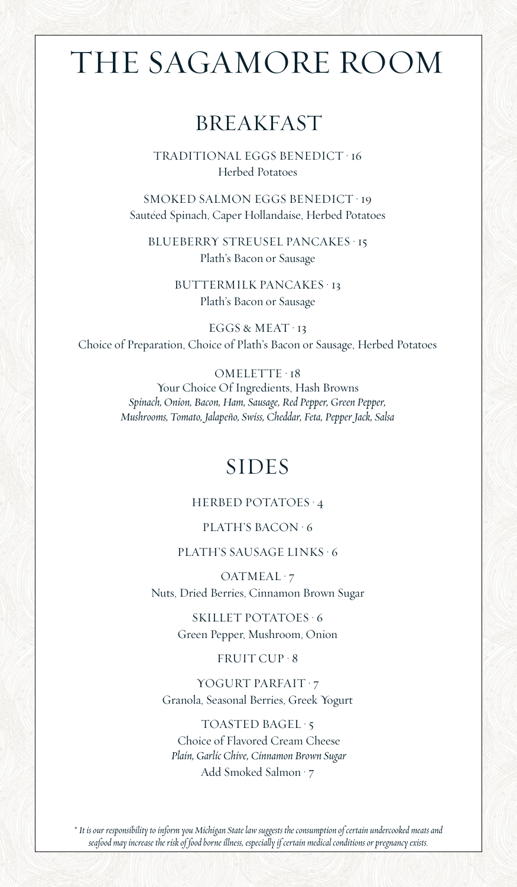# THE SAGAMORE ROOM

## BREAKFAST

TRADITIONAL EGGS BENEDICT • 16 Herbed Potatoes

SMOKED SALMON EGGS BENEDICT • 19 Sautéed Spinach, Caper Hollandaise, Herbed Potatoes

BLUEBERRY STREUSEL PANCAKES • 15 Plath's Bacon or Sausage

> BUTTERMILK PANCAKES • 13 Plath's Bacon or Sausage

EGGS & MEAT · 13 Choice of Preparation, Choice of Plath's Bacon or Sausage, Herbed Potatoes

OMELETTE · 18

Your Choice Of Ingredients, Hash Browns *Spinach, Onion, Bacon, Ham, Sausage, Red Pepper, Green Pepper, Mushrooms, Tomato, Jalapeño, Swiss, Cheddar, Feta, Pepper Jack, Salsa*

## SIDES

## HERBED POTATOES • 4

## PLATH'S BACON • 6

## PLATH'S SAUSAGE LINKS • 6

OATMEAL · 7 Nuts, Dried Berries, Cinnamon Brown Sugar

> SKILLET POTATOES • 6 Green Pepper, Mushroom, Onion

#### FRUIT CUP • 8

YOGURT PARFAIT · 7 Granola, Seasonal Berries, Greek Yogurt

TOASTED BAGEL • 5 Choice of Flavored Cream Cheese *Plain, Garlic Chive, Cinnamon Brown Sugar* Add Smoked Salmon • 7

*\* It is our responsibility to inform you Michigan State law suggests the consumption of certain undercooked meats and seafood may increase the risk of food borne illness, especially if certain medical conditions or pregnancy exists.*